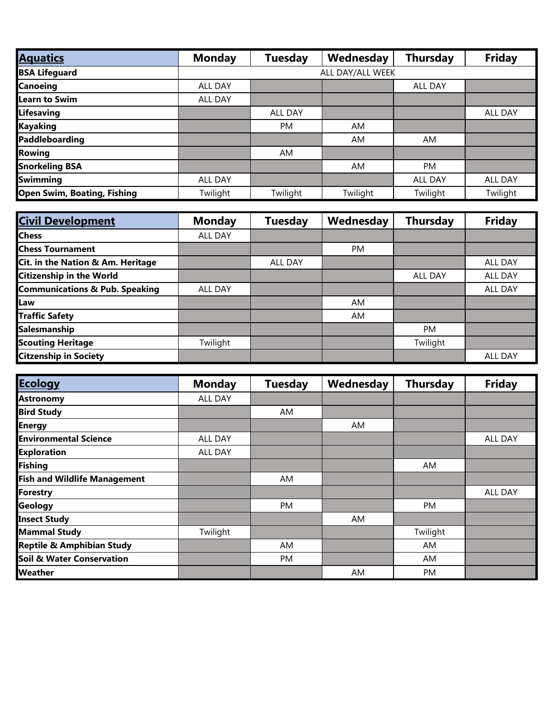| <b>Aquatics</b>                    | <b>Monday</b> | <b>Tuesday</b>   | Wednesday | <b>Thursday</b> | <b>Friday</b> |  |  |
|------------------------------------|---------------|------------------|-----------|-----------------|---------------|--|--|
| <b>BSA Lifeguard</b>               |               | ALL DAY/ALL WEEK |           |                 |               |  |  |
| <b>Canoeing</b>                    | ALL DAY       |                  |           | <b>ALL DAY</b>  |               |  |  |
| <b>Learn to Swim</b>               | ALL DAY       |                  |           |                 |               |  |  |
| Lifesaving                         |               | <b>ALL DAY</b>   |           |                 | ALL DAY       |  |  |
| Kayaking                           |               | <b>PM</b>        | AM        |                 |               |  |  |
| Paddleboarding                     |               |                  | <b>AM</b> | AM.             |               |  |  |
| <b>Rowing</b>                      |               | AM               |           |                 |               |  |  |
| <b>Snorkeling BSA</b>              |               |                  | AM        | PM              |               |  |  |
| <b>Swimming</b>                    | ALL DAY       |                  |           | ALL DAY         | ALL DAY       |  |  |
| <b>Open Swim, Boating, Fishing</b> | Twilight      | Twilight         | Twilight  | Twilight        | Twilight      |  |  |

| <b>Civil Development</b>                  | <b>Monday</b> | <b>Tuesday</b> | Wednesday | <b>Thursday</b> | <b>Friday</b>  |
|-------------------------------------------|---------------|----------------|-----------|-----------------|----------------|
| <b>Chess</b>                              | ALL DAY       |                |           |                 |                |
| <b>Chess Tournament</b>                   |               |                | <b>PM</b> |                 |                |
| Cit. in the Nation & Am. Heritage         |               | ALL DAY        |           |                 | <b>ALL DAY</b> |
| <b>Citizenship in the World</b>           |               |                |           | ALL DAY         | ALL DAY        |
| <b>Communications &amp; Pub. Speaking</b> | ALL DAY       |                |           |                 | ALL DAY        |
| Law                                       |               |                | AM        |                 |                |
| <b>Traffic Safety</b>                     |               |                | AM        |                 |                |
| Salesmanship                              |               |                |           | <b>PM</b>       |                |
| <b>Scouting Heritage</b>                  | Twilight      |                |           | Twilight        |                |
| <b>Citzenship in Society</b>              |               |                |           |                 | <b>ALL DAY</b> |

| <b>Ecology</b>                       | <b>Monday</b>  | <b>Tuesday</b> | Wednesday | <b>Thursday</b> | <b>Friday</b> |
|--------------------------------------|----------------|----------------|-----------|-----------------|---------------|
| <b>Astronomy</b>                     | <b>ALL DAY</b> |                |           |                 |               |
| <b>Bird Study</b>                    |                | AM             |           |                 |               |
| <b>Energy</b>                        |                |                | AM.       |                 |               |
| <b>Environmental Science</b>         | ALL DAY        |                |           |                 | ALL DAY       |
| <b>Exploration</b>                   | ALL DAY        |                |           |                 |               |
| Fishing                              |                |                |           | AM              |               |
| <b>Fish and Wildlife Management</b>  |                | AM             |           |                 |               |
| Forestry                             |                |                |           |                 | ALL DAY       |
| Geology                              |                | <b>PM</b>      |           | PM              |               |
| <b>Insect Study</b>                  |                |                | AM        |                 |               |
| <b>Mammal Study</b>                  | Twilight       |                |           | Twilight        |               |
| Reptile & Amphibian Study            |                | AM             |           | AM              |               |
| <b>Soil &amp; Water Conservation</b> |                | PM             |           | AM              |               |
| <b>Weather</b>                       |                |                | AM        | PM              |               |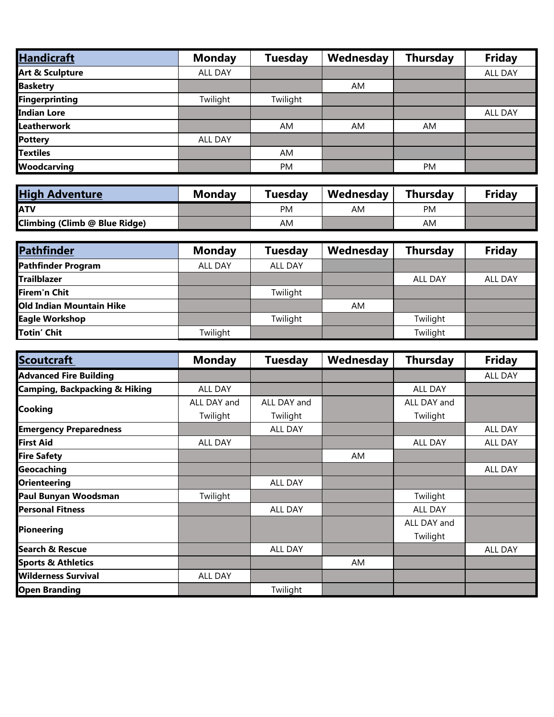| <b>Handicraft</b>          | <b>Monday</b> | <b>Tuesday</b> | Wednesday | <b>Thursday</b> | <b>Friday</b> |
|----------------------------|---------------|----------------|-----------|-----------------|---------------|
| <b>Art &amp; Sculpture</b> | ALL DAY       |                |           |                 | ALL DAY       |
| <b>Basketry</b>            |               |                | AM.       |                 |               |
| Fingerprinting             | Twilight      | Twilight       |           |                 |               |
| <b>Indian Lore</b>         |               |                |           |                 | ALL DAY       |
| Leatherwork                |               | <b>AM</b>      | AM.       | AM              |               |
| <b>Pottery</b>             | ALL DAY       |                |           |                 |               |
| <b>Textiles</b>            |               | <b>AM</b>      |           |                 |               |
| <b>Woodcarving</b>         |               | <b>PM</b>      |           | <b>PM</b>       |               |

| <b>High Adventure</b>         | <b>Monday</b> | Tuesdav   | Wednesday | <b>Thursdav</b> | <b>Friday</b> |
|-------------------------------|---------------|-----------|-----------|-----------------|---------------|
| IATV                          |               | <b>PM</b> | AM        | PM              |               |
| Climbing (Climb @ Blue Ridge) |               | AM        |           | AM              |               |

| <b>Pathfinder</b>               | <b>Monday</b> | Tuesday  | Wednesday | <b>Thursday</b> | <b>Friday</b>  |
|---------------------------------|---------------|----------|-----------|-----------------|----------------|
| Pathfinder Program              | ALL DAY       | ALL DAY  |           |                 |                |
| <b>Trailblazer</b>              |               |          |           | ALL DAY         | <b>ALL DAY</b> |
| Firem'n Chit                    |               | Twilight |           |                 |                |
| <b>Old Indian Mountain Hike</b> |               |          | AM.       |                 |                |
| <b>Eagle Workshop</b>           |               | Twilight |           | Twilight        |                |
| <b>Totin' Chit</b>              | Twilight      |          |           | Twilight        |                |

| Scoutcraft                               | <b>Monday</b>  | <b>Tuesday</b> | Wednesday | <b>Thursday</b> | <b>Friday</b>  |
|------------------------------------------|----------------|----------------|-----------|-----------------|----------------|
| <b>Advanced Fire Building</b>            |                |                |           |                 | ALL DAY        |
| <b>Camping, Backpacking &amp; Hiking</b> | ALL DAY        |                |           | ALL DAY         |                |
| <b>Cooking</b>                           | ALL DAY and    | ALL DAY and    |           | ALL DAY and     |                |
|                                          | Twilight       | Twilight       |           | Twilight        |                |
| <b>Emergency Preparedness</b>            |                | ALL DAY        |           |                 | ALL DAY        |
| <b>First Aid</b>                         | <b>ALL DAY</b> |                |           | ALL DAY         | ALL DAY        |
| <b>Fire Safety</b>                       |                |                | AM        |                 |                |
| Geocaching                               |                |                |           |                 | <b>ALL DAY</b> |
| <b>Orienteering</b>                      |                | ALL DAY        |           |                 |                |
| Paul Bunyan Woodsman                     | Twilight       |                |           | Twilight        |                |
| <b>Personal Fitness</b>                  |                | ALL DAY        |           | ALL DAY         |                |
|                                          |                |                |           | ALL DAY and     |                |
| <b>Pioneering</b>                        |                |                |           | Twilight        |                |
| <b>Search &amp; Rescue</b>               |                | ALL DAY        |           |                 | ALL DAY        |
| <b>Sports &amp; Athletics</b>            |                |                | AM        |                 |                |
| <b>Wilderness Survival</b>               | ALL DAY        |                |           |                 |                |
| <b>Open Branding</b>                     |                | Twilight       |           |                 |                |